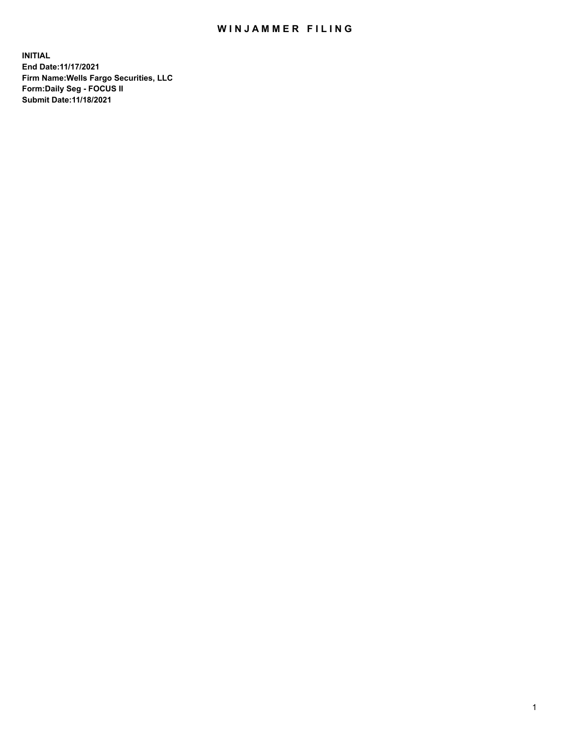## WIN JAMMER FILING

**INITIAL End Date:11/17/2021 Firm Name:Wells Fargo Securities, LLC Form:Daily Seg - FOCUS II Submit Date:11/18/2021**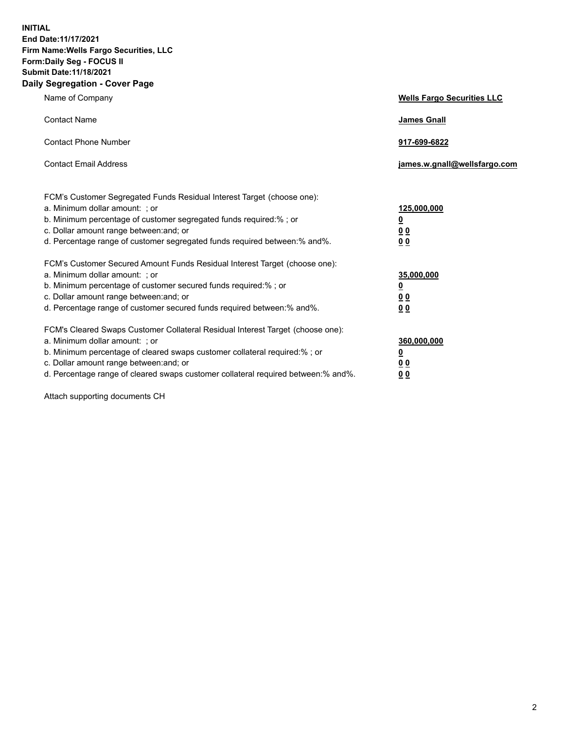**INITIAL End Date:11/17/2021 Firm Name:Wells Fargo Securities, LLC Form:Daily Seg - FOCUS II Submit Date:11/18/2021 Daily Segregation - Cover Page**

| Name of Company                                                                                                                                                                                                                                                                                                                | <b>Wells Fargo Securities LLC</b>                      |
|--------------------------------------------------------------------------------------------------------------------------------------------------------------------------------------------------------------------------------------------------------------------------------------------------------------------------------|--------------------------------------------------------|
| <b>Contact Name</b>                                                                                                                                                                                                                                                                                                            | <b>James Gnall</b>                                     |
| <b>Contact Phone Number</b>                                                                                                                                                                                                                                                                                                    | 917-699-6822                                           |
| <b>Contact Email Address</b>                                                                                                                                                                                                                                                                                                   | james.w.gnall@wellsfargo.com                           |
| FCM's Customer Segregated Funds Residual Interest Target (choose one):<br>a. Minimum dollar amount: ; or<br>b. Minimum percentage of customer segregated funds required:% ; or<br>c. Dollar amount range between: and; or<br>d. Percentage range of customer segregated funds required between: % and %.                       | 125,000,000<br><u>0</u><br><u>00</u><br>0 <sub>0</sub> |
| FCM's Customer Secured Amount Funds Residual Interest Target (choose one):<br>a. Minimum dollar amount: ; or<br>b. Minimum percentage of customer secured funds required:%; or<br>c. Dollar amount range between: and; or<br>d. Percentage range of customer secured funds required between: % and %.                          | 35,000,000<br><u>0</u><br>00<br>0 <sub>0</sub>         |
| FCM's Cleared Swaps Customer Collateral Residual Interest Target (choose one):<br>a. Minimum dollar amount: ; or<br>b. Minimum percentage of cleared swaps customer collateral required:% ; or<br>c. Dollar amount range between: and; or<br>d. Percentage range of cleared swaps customer collateral required between:% and%. | 360,000,000<br><u>0</u><br>0 Q<br>00                   |

Attach supporting documents CH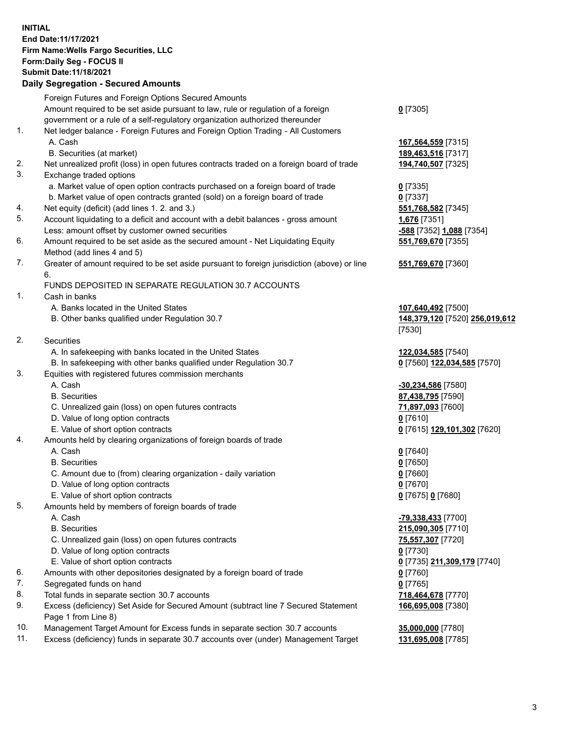**INITIAL End Date:11/17/2021 Firm Name:Wells Fargo Securities, LLC Form:Daily Seg - FOCUS II Submit Date:11/18/2021 Daily Segregation - Secured Amounts**

## Foreign Futures and Foreign Options Secured Amounts Amount required to be set aside pursuant to law, rule or regulation of a foreign government or a rule of a self-regulatory organization authorized thereunder **0** [7305] 1. Net ledger balance - Foreign Futures and Foreign Option Trading - All Customers A. Cash **167,564,559** [7315] B. Securities (at market) **189,463,516** [7317] 2. Net unrealized profit (loss) in open futures contracts traded on a foreign board of trade **194,740,507** [7325] 3. Exchange traded options a. Market value of open option contracts purchased on a foreign board of trade **0** [7335] b. Market value of open contracts granted (sold) on a foreign board of trade **0** [7337] 4. Net equity (deficit) (add lines 1. 2. and 3.) **551,768,582** [7345] 5. Account liquidating to a deficit and account with a debit balances - gross amount **1,676** [7351] Less: amount offset by customer owned securities **-588** [7352] **1,088** [7354] 6. Amount required to be set aside as the secured amount - Net Liquidating Equity Method (add lines 4 and 5) **551,769,670** [7355] 7. Greater of amount required to be set aside pursuant to foreign jurisdiction (above) or line 6. **551,769,670** [7360] FUNDS DEPOSITED IN SEPARATE REGULATION 30.7 ACCOUNTS 1. Cash in banks A. Banks located in the United States **107,640,492** [7500] B. Other banks qualified under Regulation 30.7 **148,379,120** [7520] **256,019,612** [7530] 2. Securities A. In safekeeping with banks located in the United States **122,034,585** [7540] B. In safekeeping with other banks qualified under Regulation 30.7 **0** [7560] **122,034,585** [7570] 3. Equities with registered futures commission merchants A. Cash **-30,234,586** [7580] B. Securities **87,438,795** [7590] C. Unrealized gain (loss) on open futures contracts **71,897,093** [7600] D. Value of long option contracts **0** [7610] E. Value of short option contracts **0** [7615] **129,101,302** [7620] 4. Amounts held by clearing organizations of foreign boards of trade A. Cash **0** [7640] B. Securities **0** [7650] C. Amount due to (from) clearing organization - daily variation **0** [7660] D. Value of long option contracts **0** [7670] E. Value of short option contracts **0** [7675] **0** [7680] 5. Amounts held by members of foreign boards of trade A. Cash **-79,338,433** [7700] B. Securities **215,090,305** [7710] C. Unrealized gain (loss) on open futures contracts **75,557,307** [7720] D. Value of long option contracts **0** [7730] E. Value of short option contracts **0** [7735] **211,309,179** [7740] 6. Amounts with other depositories designated by a foreign board of trade **0** [7760] 7. Segregated funds on hand **0** [7765] 8. Total funds in separate section 30.7 accounts **718,464,678** [7770] 9. Excess (deficiency) Set Aside for Secured Amount (subtract line 7 Secured Statement Page 1 from Line 8) **166,695,008** [7380]

- 10. Management Target Amount for Excess funds in separate section 30.7 accounts **35,000,000** [7780]
- 11. Excess (deficiency) funds in separate 30.7 accounts over (under) Management Target **131,695,008** [7785]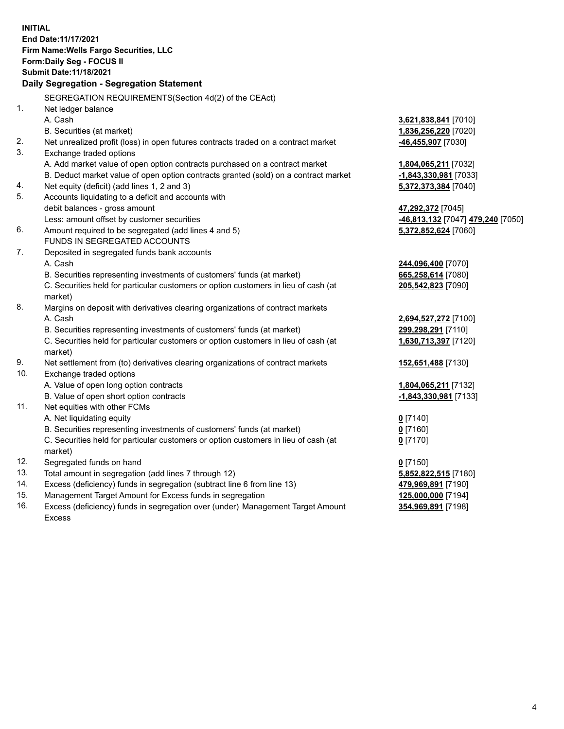**INITIAL End Date:11/17/2021 Firm Name:Wells Fargo Securities, LLC Form:Daily Seg - FOCUS II Submit Date:11/18/2021 Daily Segregation - Segregation Statement** SEGREGATION REQUIREMENTS(Section 4d(2) of the CEAct) 1. Net ledger balance A. Cash **3,621,838,841** [7010] B. Securities (at market) **1,836,256,220** [7020] 2. Net unrealized profit (loss) in open futures contracts traded on a contract market **-46,455,907** [7030] 3. Exchange traded options A. Add market value of open option contracts purchased on a contract market **1,804,065,211** [7032] B. Deduct market value of open option contracts granted (sold) on a contract market **-1,843,330,981** [7033] 4. Net equity (deficit) (add lines 1, 2 and 3) **5,372,373,384** [7040] 5. Accounts liquidating to a deficit and accounts with debit balances - gross amount **47,292,372** [7045] Less: amount offset by customer securities **-46,813,132** [7047] **479,240** [7050] 6. Amount required to be segregated (add lines 4 and 5) **5,372,852,624** [7060] FUNDS IN SEGREGATED ACCOUNTS 7. Deposited in segregated funds bank accounts A. Cash **244,096,400** [7070] B. Securities representing investments of customers' funds (at market) **665,258,614** [7080] C. Securities held for particular customers or option customers in lieu of cash (at market) **205,542,823** [7090] 8. Margins on deposit with derivatives clearing organizations of contract markets A. Cash **2,694,527,272** [7100] B. Securities representing investments of customers' funds (at market) **299,298,291** [7110] C. Securities held for particular customers or option customers in lieu of cash (at market) **1,630,713,397** [7120] 9. Net settlement from (to) derivatives clearing organizations of contract markets **152,651,488** [7130] 10. Exchange traded options A. Value of open long option contracts **1,804,065,211** [7132] B. Value of open short option contracts **-1,843,330,981** [7133] 11. Net equities with other FCMs A. Net liquidating equity **0** [7140] B. Securities representing investments of customers' funds (at market) **0** [7160] C. Securities held for particular customers or option customers in lieu of cash (at market) **0** [7170] 12. Segregated funds on hand **0** [7150] 13. Total amount in segregation (add lines 7 through 12) **5,852,822,515** [7180] 14. Excess (deficiency) funds in segregation (subtract line 6 from line 13) **479,969,891** [7190] 15. Management Target Amount for Excess funds in segregation **125,000,000** [7194] 16. Excess (deficiency) funds in segregation over (under) Management Target Amount **354,969,891** [7198]

Excess